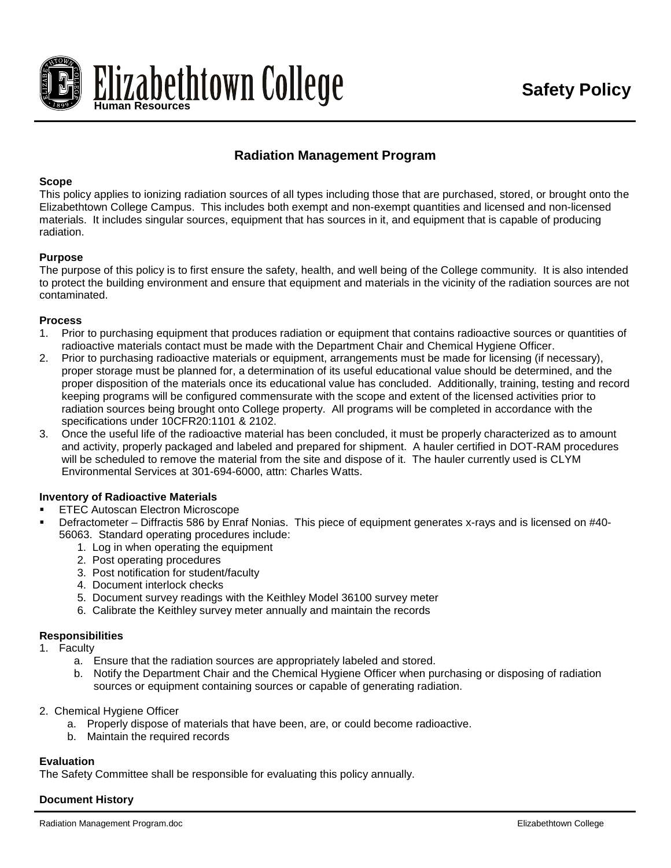

# **Radiation Management Program**

### **Scope**

This policy applies to ionizing radiation sources of all types including those that are purchased, stored, or brought onto the Elizabethtown College Campus. This includes both exempt and non-exempt quantities and licensed and non-licensed materials. It includes singular sources, equipment that has sources in it, and equipment that is capable of producing radiation.

### **Purpose**

The purpose of this policy is to first ensure the safety, health, and well being of the College community. It is also intended to protect the building environment and ensure that equipment and materials in the vicinity of the radiation sources are not contaminated.

### **Process**

- 1. Prior to purchasing equipment that produces radiation or equipment that contains radioactive sources or quantities of radioactive materials contact must be made with the Department Chair and Chemical Hygiene Officer.
- 2. Prior to purchasing radioactive materials or equipment, arrangements must be made for licensing (if necessary), proper storage must be planned for, a determination of its useful educational value should be determined, and the proper disposition of the materials once its educational value has concluded. Additionally, training, testing and record keeping programs will be configured commensurate with the scope and extent of the licensed activities prior to radiation sources being brought onto College property. All programs will be completed in accordance with the specifications under 10CFR20:1101 & 2102.
- 3. Once the useful life of the radioactive material has been concluded, it must be properly characterized as to amount and activity, properly packaged and labeled and prepared for shipment. A hauler certified in DOT-RAM procedures will be scheduled to remove the material from the site and dispose of it. The hauler currently used is CLYM Environmental Services at 301-694-6000, attn: Charles Watts.

### **Inventory of Radioactive Materials**

- ETEC Autoscan Electron Microscope
- Defractometer Diffractis 586 by Enraf Nonias. This piece of equipment generates x-rays and is licensed on #40- 56063. Standard operating procedures include:
	- 1. Log in when operating the equipment
	- 2. Post operating procedures
	- 3. Post notification for student/faculty
	- 4. Document interlock checks
	- 5. Document survey readings with the Keithley Model 36100 survey meter
	- 6. Calibrate the Keithley survey meter annually and maintain the records

### **Responsibilities**

- 1. Faculty
	- a. Ensure that the radiation sources are appropriately labeled and stored.
	- b. Notify the Department Chair and the Chemical Hygiene Officer when purchasing or disposing of radiation sources or equipment containing sources or capable of generating radiation.

### 2. Chemical Hygiene Officer

- a. Properly dispose of materials that have been, are, or could become radioactive.
- b. Maintain the required records

## **Evaluation**

The Safety Committee shall be responsible for evaluating this policy annually.

## **Document History**